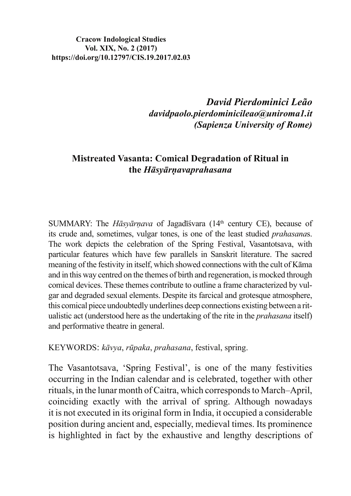#### **Cracow Indological Studies** Vol. XIX, No. 2 (2017) https://doi.org/10.12797/CIS.19.2017.02.03

David Pierdominici Leão davidpaolo.pierdominicileao@uniroma1.it (Sapienza University of Rome)

# **Mistreated Vasanta: Comical Degradation of Ritual in** the Hāsyārnavaprahasana

SUMMARY: The *Hāsvārnava* of Jagadīśvara (14<sup>th</sup> century CE), because of its crude and, sometimes, vulgar tones, is one of the least studied *prahasanas*. The work depicts the celebration of the Spring Festival, Vasantotsava, with particular features which have few parallels in Sanskrit literature. The sacred meaning of the festivity in itself, which showed connections with the cult of Kāma and in this way centred on the themes of birth and regeneration, is mocked through comical devices. These themes contribute to outline a frame characterized by vulgar and degraded sexual elements. Despite its farcical and grotesque atmosphere, this comical piece undoubtedly underlines deep connections existing between a ritualistic act (understood here as the undertaking of the rite in the *prahasana* itself) and performative theatre in general.

KEYWORDS: kāvya, rūpaka, prahasana, festival, spring.

The Vasantotsava, 'Spring Festival', is one of the many festivities occurring in the Indian calendar and is celebrated, together with other rituals, in the lunar month of Caitra, which corresponds to March–April, coinciding exactly with the arrival of spring. Although nowadays it is not executed in its original form in India, it occupied a considerable position during ancient and, especially, medieval times. Its prominence is highlighted in fact by the exhaustive and lengthy descriptions of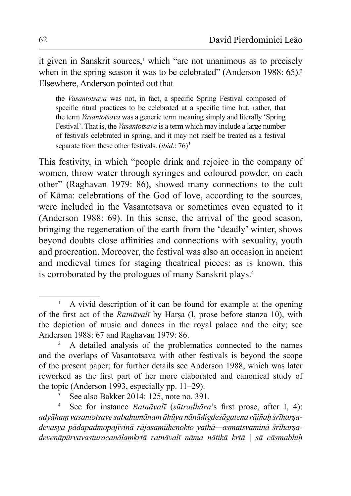it given in Sanskrit sources,<sup>1</sup> which "are not unanimous as to precisely when in the spring season it was to be celebrated" (Anderson 1988:  $65$ ).<sup>2</sup> Elsewhere, Anderson pointed out that

the *Vasantotsava* was not, in fact, a specific Spring Festival composed of specific ritual practices to be celebrated at a specific time but, rather, that the term *Vasantotsava* was a generic term meaning simply and literally 'Spring Festival'. That is, the *Vasantotsava* is a term which may include a large number of festivals celebrated in spring, and it may not itself be treated as a festival separate from these other festivals. (*ibid*.: 76)<sup>3</sup>

This festivity, in which "people drink and rejoice in the company of women, throw water through syringes and coloured powder, on each other" (Raghavan 1979: 86), showed many connections to the cult of Kāma: celebrations of the God of love, according to the sources, were included in the Vasantotsava or sometimes even equated to it (Anderson 1988: 69). In this sense, the arrival of the good season, bringing the regeneration of the earth from the 'deadly' winter, shows beyond doubts close affinities and connections with sexuality, youth and procreation. Moreover, the festival was also an occasion in ancient and medieval times for staging theatrical pieces: as is known, this is corroborated by the prologues of many Sanskrit plays. $4$ 

<sup>1</sup> A vivid description of it can be found for example at the opening of the first act of the *Ratnāvalī* by Harsa (I, prose before stanza 10), with the depiction of music and dances in the royal palace and the city; see Anderson 1988: 67 and Raghavan 1979: 86.

<sup>2</sup> A detailed analysis of the problematics connected to the names and the overlaps of Vasantotsava with other festivals is beyond the scope of the present paper; for further details see Anderson 1988, which was later reworked as the first part of her more elaborated and canonical study of the topic (Anderson 1993, especially pp. 11–29).

<sup>3</sup> See also Bakker 2014: 125, note no. 391.

<sup>4</sup> See for instance *Ratnāvalī* (*sūtradhāra*'s first prose, after I, 4): adyāham vasantotsave sabahumānam āhūya nānādigdeśāgatena rājñah śrīharsadevasya pādapadmopajīvinā rājasamūhenokto vathā—asmatsvaminā śrīharsadevenāpūrvavasturacanālamkrtā ratnāvalī nāma nātikā krtā | sā cāsmabhih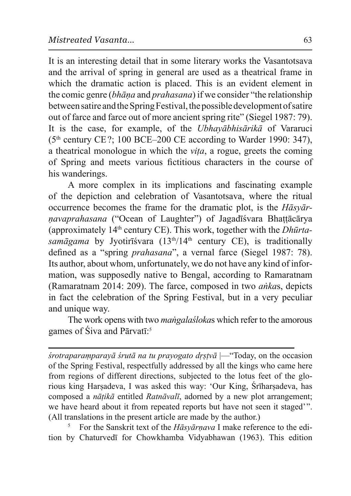It is an interesting detail that in some literary works the Vasantotsava and the arrival of spring in general are used as a theatrical frame in which the dramatic action is placed. This is an evident element in the comic genre *(bhana* and *prahasana)* if we consider "the relationship" between satire and the Spring Festival, the possible development of satire out of farce and farce out of more ancient spring rite" (Siegel 1987: 79). It is the case, for example, of the *Ubhayabhisarika* of Vararuci  $(5<sup>th</sup> century CE$  ?; 100 BCE–200 CE according to Warder 1990: 347), a theatrical monologue in which the *vita*, a rogue, greets the coming of Spring and meets various fictitious characters in the course of his wanderings.

A more complex in its implications and fascinating example of the depiction and celebration of Vasantotsava, where the ritual occurrence becomes the frame for the dramatic plot, is the *H* $\bar{a}$ <sub>s</sub> v $\bar{a}$ <sup>r</sup> *navaprahasana* ("Ocean of Laughter") of Jagadīśvara Bhattācārya (approximately  $14<sup>th</sup>$  century CE). This work, together with the *Dhūrtasamāgama* by Jyotirīśvara (13<sup>th</sup>/14<sup>th</sup> century CE), is traditionally defined as a "spring *prahasana*", a vernal farce (Siegel 1987: 78). Its author, about whom, unfortunately, we do not have any kind of information, was supposedly native to Bengal, according to Ramaratnam (Ramaratnam 2014: 209). The farce, composed in two *ankas*, depicts in fact the celebration of the Spring Festival, but in a very peculiar and unique way.

The work opens with two *mangalastokas* which refer to the amorous games of Siva and Pārvatī:<sup>5</sup>

*śrotraparamparayā śrutā na tu prayogato drstvā*  $\left| \right|$ — "Today, on the occasion" of the Spring Festival, respectfully addressed by all the kings who came here from regions of different directions, subjected to the lotus feet of the glorious king Harsadeva, I was asked this way: 'Our King, Śrīharsadeva, has composed a *nātikā* entitled *Ratnāvalī*, adorned by a new plot arrangement; we have heard about it from repeated reports but have not seen it staged'". (All translations in the present article are made by the author.)

5 For the Sanskrit text of the *Hāsyārnava* I make reference to the edition by Chaturvedī for Chowkhamba Vidyabhawan (1963). This edition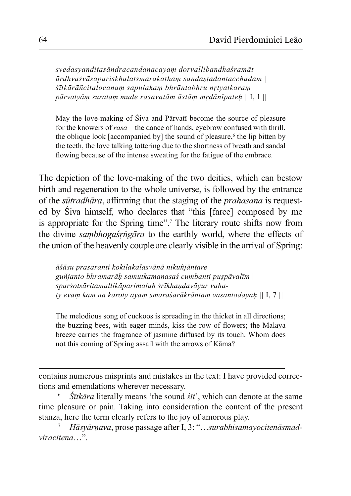$Svedasy and its and racandana cayam$  dorvallibandhasramāt  $\bar{u}$ rdhvaśvāsapariskhalatsmarakatham sandastadantacchadam |  $\ddot{\delta}$ *itkārāñcitalocanam sapulakam bhrāntabhru nrtyatkaram* pārvatyām suratam mude rasavatām āstām mr*dānīpateh* || I, 1 ||

May the love-making of Siva and Pārvatī become the source of pleasure for the knowers of *rasa*—the dance of hands, evebrow confused with thrill. the oblique look [accompanied by] the sound of pleasure,<sup>6</sup> the lip bitten by the teeth, the love talking tottering due to the shortness of breath and sandal flowing because of the intense sweating for the fatigue of the embrace.

The depiction of the love-making of the two deities, which can bestow birth and regeneration to the whole universe, is followed by the entrance of the *sūtradhāra*, affirming that the staging of the *prahasana* is requested by Siva himself, who declares that "this [farce] composed by me is appropriate for the Spring time".<sup>7</sup> The literary route shifts now from the divine *sambhogas<sup>rigara* to the earthly world, where the effects of</sup> the union of the heavenly couple are clearly visible in the arrival of Spring:

 $\bar{a}$ *Šāsu prasaranti kokilakalasvānā nikuñjāntare* guñjanto bhramarāḥ samutkamanasas cumbanti puṣpāvalīm | sparsotsāritamallikāparimalah srīkhandavāyur vaha*ty evam kam na karoty ayam smaraśarākrāntam vasantodayah*  $||I, 7||$ 

The melodious song of cuckoos is spreading in the thicket in all directions; the buzzing bees, with eager minds, kiss the row of flowers; the Malaya breeze carries the fragrance of jasmine diffused by its touch. Whom does not this coming of Spring assail with the arrows of Kāma?

contains numerous misprints and mistakes in the text: I have provided corrections and emendations wherever necessary.

 $\overline{Stikāra}$  literally means 'the sound  $\overline{sit}$ ', which can denote at the same time pleasure or pain. Taking into consideration the content of the present stanza, here the term clearly refers to the joy of amorous play.

*Hāsyārnava*, prose passage after I, 3: "…*surabhisamayocitenāsmadvira citena*…".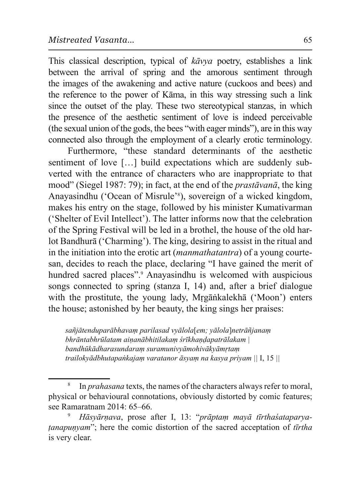This classical description, typical of *kavya* poetry, establishes a link between the arrival of spring and the amorous sentiment through the images of the awakening and active nature (cuckoos and bees) and the reference to the power of Kāma, in this way stressing such a link since the outset of the play. These two stereotypical stanzas, in which the presence of the aesthetic sentiment of love is indeed perceivable (the sexual union of the gods, the bees "with eager minds"), are in this way connected also through the employment of a clearly erotic terminology.

Furthermore, "these standard determinants of the aesthetic sentiment of love [...] build expectations which are suddenly subverted with the entrance of characters who are inappropriate to that mood" (Siegel 1987: 79); in fact, at the end of the *prastāvanā*, the king Anayasindhu ('Ocean of Misrule'<sup>8</sup>), sovereign of a wicked kingdom, makes his entry on the stage, followed by his minister Kumativarman ('Shelter of Evil Intellect'). The latter informs now that the celebration of the Spring Festival will be led in a brothel, the house of the old harlot Bandhurā ('Charming'). The king, desiring to assist in the ritual and in the initiation into the erotic art *(manmathatantra)* of a young courtesan, decides to reach the place, declaring "I have gained the merit of hundred sacred places".<sup>9</sup> Anayasindhu is welcomed with auspicious songs connected to spring (stanza I, 14) and, after a brief dialogue with the prostitute, the young lady, Mrgānkalekhā ('Moon') enters the house; astonished by her beauty, the king sings her praises:

 $S\alpha\tilde{n}$ *jātenduparābhavam parilasad vyālola*[*em*; *yālola*]netrāñjanam *bhrāntabhrūlatam ainanābhitilakam śrīkhandapatrālakam* | bandhūkādharasundaram suramunivyāmohivākyāmrtam *WebFrailokvādbhutapankajam varatanor āsvam na kasva privam*  $||I, 15||$ 

<sup>8</sup> In *prahasana* texts, the names of the characters always refer to moral, physical or behavioural connotations, obviously distorted by comic features; see Ramaratnam 2014: 65–66.

*Hāsyārnava*, prose after I, 13: "*prāptam mayā tīrthasataparyatanapunyam*"; here the comic distortion of the sacred acceptation of *tīrtha* is very clear.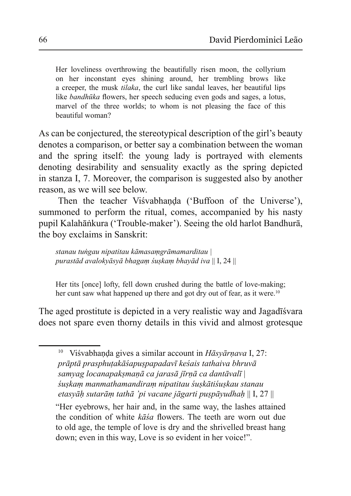Her loveliness overthrowing the beautifully risen moon, the collyrium on her inconstant eyes shining around, her trembling brows like a creeper, the musk *tilaka*, the curl like sandal leaves, her beautiful lips like *bandhūka* flowers, her speech seducing even gods and sages, a lotus, marvel of the three worlds; to whom is not pleasing the face of this beautiful woman?

As can be conjectured, the stereotypical description of the girl's beauty denotes a comparison, or better say a combination between the woman and the spring itself: the young lady is portrayed with elements denoting desirability and sensuality exactly as the spring depicted in stanza I, 7. Moreover, the comparison is suggested also by another reason, as we will see below.

Then the teacher Visvabhanda ('Buffoon of the Universe'), summoned to perform the ritual, comes, accompanied by his nasty pupil Kalahānkura ('Trouble-maker'). Seeing the old harlot Bandhurā, the boy exclaims in Sanskrit:

stanau tungau nipatitau kāmasamgrāmamarditau purastād avalokvāsvā bhagam śuskam bhavād iva || I, 24 ||

Her tits [once] lofty, fell down crushed during the battle of love-making; her cunt saw what happened up there and got dry out of fear, as it were.<sup>10</sup>

The aged prostitute is depicted in a very realistic way and Jagad<del>is</del> vara does not spare even thorny details in this vivid and almost grotesque

<sup>10</sup> Visvabhanda gives a similar account in *Hāsyārņava* I, 27: prāptā prasphutakāśapuspapadavī keśais tathaiva bhruvā samyag locanapaksmanā ca jarasā jīrnā ca dantāvalī| suskam manmathamandiram nipatitau suskātisuskau stanau etasyāh sutarām tathā 'pi vacane jāgarti puspāyudhah  $\parallel$ I, 27  $\parallel$ 

"Her evebrows, her hair and, in the same way, the lashes attained the condition of white kāśa flowers. The teeth are worn out due to old age, the temple of love is dry and the shrivelled breast hang down; even in this way, Love is so evident in her voice!".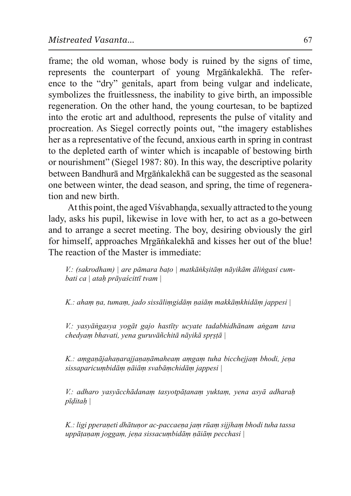frame; the old woman, whose body is ruined by the signs of time. represents the counterpart of young Mrgankalekha. The reference to the "dry" genitals, apart from being vulgar and indelicate, symbolizes the fruitlessness, the inability to give birth, an impossible regeneration. On the other hand, the young courtesan, to be baptized into the erotic art and adulthood, represents the pulse of vitality and procreation. As Siegel correctly points out, "the imagery establishes her as a representative of the fecund, anxious earth in spring in contrast to the depleted earth of winter which is incapable of bestowing birth or nourishment" (Siegel 1987: 80). In this way, the descriptive polarity between Bandhurā and Mrgānkalekhā can be suggested as the seasonal one between winter, the dead season, and spring, the time of regeneration and new birth.

At this point, the aged Visvabhanda, sexually attracted to the young lady, asks his pupil, likewise in love with her, to act as a go-between and to arrange a secret meeting. The boy, desiring obviously the girl for himself, approaches Mrgānkalekhā and kisses her out of the blue! The reaction of the Master is immediate:

*V*.: (sakrodham) | are pāmara bato | matkānksitām nāyikām ālingasi cum*bati ca* | *atah prāyaścittī tyam* |

*K.*: aham na, tumam, jado sissālimgidām naiām makkāmkhidām jappesi |

*V*.: yasyāngasya yogāt gajo hastīty ucyate tadabhidhānam angam tava *chedyam bhavati, yena guruvāñchitā nāyikā sprstā* |

*K.*: amganājahanarajjananāmaheam amgam tuha bicchejjam bhodi, jena *sissaparicumbidām nāiām svabāmchidām jappesi* |

*V*.: adharo yasyācchādanam tasyotpāṭanam yuktam, yena asyā adharaḥ *pīditah* 

K.: ligi pperaneti dhātunor ac-paccaena jam rūam sijjham bhodi tuha tassa *uppātanam joggam, jena sissacumbidām nājām pecchasi* |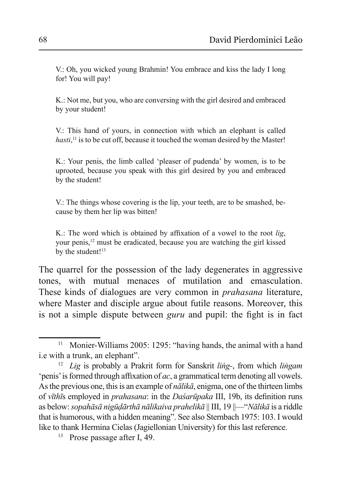V.: Oh, you wicked young Brahmin! You embrace and kiss the lady I long for! You will pay!

K.: Not me, but you, who are conversing with the girl desired and embraced by your student!

V.: This hand of yours, in connection with which an elephant is called *hasti*,<sup>11</sup> is to be cut off, because it touched the woman desired by the Master!

K.: Your penis, the limb called 'pleaser of pudenda' by women, is to be uprooted, because you speak with this girl desired by you and embraced by the student!

V.: The things whose covering is the lip, your teeth, are to be smashed, because by them her lip was bitten!

K.: The word which is obtained by affixation of a vowel to the root *lig*, your penis,<sup>12</sup> must be eradicated, because you are watching the girl kissed by the student! $13$ 

The quarrel for the possession of the lady degenerates in aggressive tones, with mutual menaces of mutilation and emasculation. These kinds of dialogues are very common in *prahasana* literature, where Master and disciple argue about futile reasons. Moreover, this is not a simple dispute between *guru* and pupil: the fight is in fact

<sup>&</sup>lt;sup>11</sup> Monier-Williams 2005: 1295: "having hands, the animal with a hand i.e with a trunk, an elephant".

<sup>&</sup>lt;sup>12</sup> *Lig* is probably a Prakrit form for Sanskrit *ling*-, from which *lingam* penis' is formed through affixation of *ac*, a grammatical term denoting all vowels. As the previous one, this is an example of  $n\bar{a}$ *lika*, enigma, one of the thirteen limbs of *vīthīs* employed in *prahasana*: in the *Dasarūpaka* III, 19b, its definition runs as below: *sopahāsā nigūdārthā nālikaiva prahelikā* || III, 19 ||— "*Nālikā* is a riddle that is humorous, with a hidden meaning". See also Sternbach 1975: 103. I would like to thank Hermina Cielas (Jagiellonian University) for this last reference.

Prose passage after I, 49.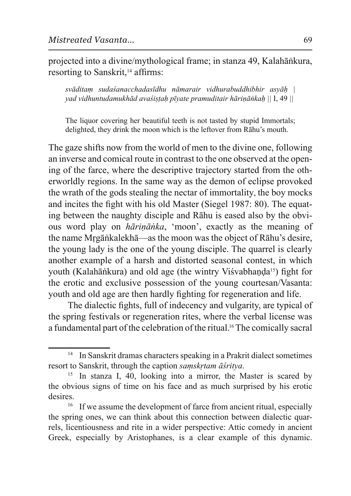projected into a divine/mythological frame; in stanza 49, Kalahānkura, resorting to Sanskrit,<sup>14</sup> affirms:

*Svāditam sudasanacchadasīdhu nāmarair vidhurabuddhibhir asvāh* | *yad vidhuntudamukhād avastistah pīyate pramuditair hāriņānkaḥ* || I, 49 ||

The liquor covering her beautiful teeth is not tasted by stupid Immortals; delighted, they drink the moon which is the leftover from Rāhu's mouth.

The gaze shifts now from the world of men to the divine one, following an inverse and comical route in contrast to the one observed at the opening of the farce, where the descriptive trajectory started from the otherworldly regions. In the same way as the demon of eclipse provoked the wrath of the gods stealing the nectar of immortality, the boy mocks and incites the fight with his old Master (Siegel 1987: 80). The equating between the naughty disciple and Rahu is eased also by the obvious word play on *hāriņānka*, 'moon', exactly as the meaning of the name Mrgānkalekhā—as the moon was the object of Rāhu's desire, the young lady is the one of the young disciple. The quarrel is clearly another example of a harsh and distorted seasonal contest, in which youth (Kalahānkura) and old age (the wintry Visvabhanda<sup>15</sup>) fight for the erotic and exclusive possession of the young courtesan/Vasanta: youth and old age are then hardly fighting for regeneration and life.

The dialectic fights, full of indecency and vulgarity, are typical of the spring festivals or regeneration rites, where the verbal license was a fundamental part of the celebration of the ritual.<sup>16</sup> The comically sacral

<sup>&</sup>lt;sup>14</sup> In Sanskrit dramas characters speaking in a Prakrit dialect sometimes resort to Sanskrit, through the caption *samskrtam āśritya*.

<sup>&</sup>lt;sup>15</sup> In stanza I, 40, looking into a mirror, the Master is scared by the obvious signs of time on his face and as much surprised by his erotic desires.

<sup>&</sup>lt;sup>16</sup> If we assume the development of farce from ancient ritual, especially the spring ones, we can think about this connection between dialectic quarrels, licentiousness and rite in a wider perspective: Attic comedy in ancient Greek, especially by Aristophanes, is a clear example of this dynamic.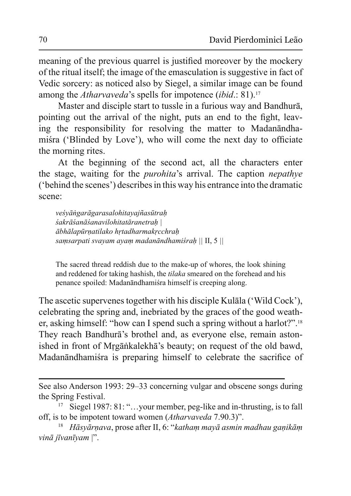meaning of the previous quarrel is justified moreover by the mockery of the ritual itself; the image of the emasculation is suggestive in fact of Vedic sorcery: as noticed also by Siegel, a similar image can be found among the *Atharvaveda*'s spells for impotence (ibid.: 81).<sup>17</sup>

Master and disciple start to tussle in a furious way and Bandhura, pointing out the arrival of the night, puts an end to the fight, leaving the responsibility for resolving the matter to Madanandhamisra ('Blinded by Love'), who will come the next day to officiate the morning rites.

At the beginning of the second act, all the characters enter the stage, waiting for the *purohita's* arrival. The caption *nepathye*  $'$  behind the scenes') describes in this way his entrance into the dramatic scene:

 $v$ eśyāngarāgarasalohitayajñasūtrah  $\delta$ akrāśanāśanavilohitatāranetrah  $\bar{a}$ bhālapūrņatilako hrtadharmakrcchrah *Samsarpati svayam ayam madanāndhamiśrah*  $||$  II, 5  $||$ 

The sacred thread reddish due to the make-up of whores, the look shining and reddened for taking hashish, the *tilaka* smeared on the forehead and his penance spoiled: Madanāndhamiśra himself is creeping along.

The ascetic supervenes together with his disciple Kulāla ('Wild Cock'), celebrating the spring and, inebriated by the graces of the good weather, asking himself: "how can I spend such a spring without a harlot?".<sup>18</sup> They reach Bandhura's brothel and, as everyone else, remain astonished in front of Mrgankalekha's beauty; on request of the old bawd, Madanāndhamista is preparing himself to celebrate the sacrifice of

See also Anderson 1993:  $29-33$  concerning vulgar and obscene songs during the Spring Festival.

<sup>&</sup>lt;sup>17</sup> Siegel 1987: 81: "...your member, peg-like and in-thrusting, is to fall off, is to be impotent toward women (Atharvaveda 7.90.3)".

<sup>&</sup>lt;sup>18</sup> *Hāsyārnava, prose after II, 6: "katham mayā asmin madhau ganikām vinā jīvanīyam* |".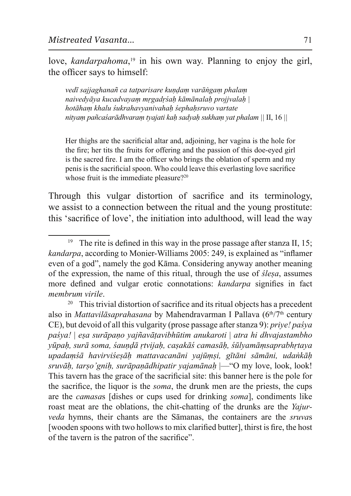love, kandarpahoma,<sup>19</sup> in his own way. Planning to enjoy the girl, the officer says to himself:

vedī sajjaghanañ ca tatparisare kundam varāngam phalam naivedyāya kucadvayam mrgadrśah kāmānalah projivalah | hotāham khalu śukrahavyanivahah śephahsruvo vartate nityam pañcaśarādhvaram tyajati kah sadyah sukham yat phalam || II, 16 ||

Her thighs are the sacrificial altar and, adjoining, her vagina is the hole for the fire; her tits the fruits for offering and the passion of this doe-eyed girl is the sacred fire. I am the officer who brings the oblation of sperm and my penis is the sacrificial spoon. Who could leave this everlasting love sacrifice whose fruit is the immediate pleasure?<sup>20</sup>

Through this vulgar distortion of sacrifice and its terminology, we assist to a connection between the ritual and the young prostitute: this 'sacrifice of love', the initiation into adulthood, will lead the way

<sup>&</sup>lt;sup>19</sup> The rite is defined in this way in the prose passage after stanza II, 15; kandarpa, according to Monier-Williams 2005: 249, is explained as "inflamer" even of a god", namely the god Kāma. Considering anyway another meaning of the expression, the name of this ritual, through the use of *slesa*, assumes more defined and vulgar erotic connotations: kandarpa signifies in fact membrum virile

<sup>&</sup>lt;sup>20</sup> This trivial distortion of sacrifice and its ritual objects has a precedent also in *Mattavilāsaprahasana* by Mahendravarman I Pallava  $(6<sup>th</sup>/7<sup>th</sup>$  century CE), but devoid of all this vulgarity (prose passage after stanza 9): *prive! pasva* paśya! | esa surāpaņo yajñavātavibhūtim anukaroti | atra hi dhvajastambho yūpah, surā soma, saundā rtvijah, casakās camasāh, sūlyamāmsaprabhrtaya upadamśā havirviśesāh mattavacanāni yajūmsi, gītāni sāmāni, udankāh sruvāh, tarso'gnih, surāpanādhipatir vajamānah — "O my love, look, look! This tavern has the grace of the sacrificial site: this banner here is the pole for the sacrifice, the liquor is the *soma*, the drunk men are the priests, the cups are the *camasas* [dishes or cups used for drinking *soma*], condiments like roast meat are the oblations, the chit-chatting of the drunks are the Yajurveda hymns, their chants are the Sāmanas, the containers are the sruvas [wooden spoons with two hollows to mix clarified butter], thirst is fire, the host of the tavern is the patron of the sacrifice".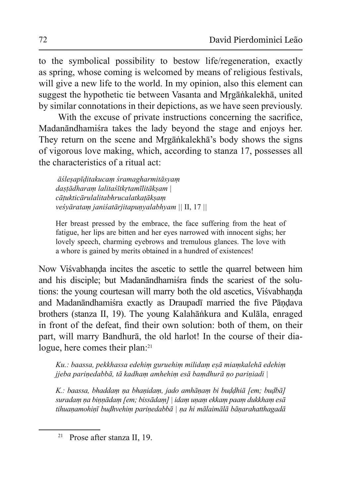to the symbolical possibility to bestow life/regeneration, exactly as spring, whose coming is welcomed by means of religious festivals, will give a new life to the world. In my opinion, also this element can suggest the hypothetic tie between Vasanta and Mrgānkalekhā, united by similar connotations in their depictions, as we have seen previously.

With the excuse of private instructions concerning the sacrifice, Madanāndhamista takes the lady beyond the stage and enjoys her. They return on the scene and Mrgankalekha's body shows the signs of vigorous love making, which, according to stanza 17, possesses all the characteristics of a ritual act:

 $\bar{a}$ ślesapīditakucam śramagharmitāsyam *dastādharam lalitaśītkrtamīlitāksam* |  $c\bar{a}$ tukticārulalitabhrucalatkatāksam *Yeśyāratam janiśatārjitapunyalabhyam* || II, 17 ||

Her breast pressed by the embrace, the face suffering from the heat of fatigue, her lips are bitten and her eyes narrowed with innocent sighs; her lovely speech, charming evebrows and tremulous glances. The love with a whore is gained by merits obtained in a hundred of existences!

Now Visvabhanda incites the ascetic to settle the quarrel between him and his disciple: but Madanandhamista finds the scariest of the solutions: the young courtesan will marry both the old ascetics, Visvabhanda and Madanāndhamisra exactly as Draupadī married the five Pāndava brothers (stanza II, 19). The young Kalahānkura and Kulāla, enraged in front of the defeat, find their own solution: both of them, on their part, will marry Bandhurā, the old harlot! In the course of their dialogue, here comes their plan:<sup>21</sup>

Ku.: baassa, pekkhassa edehim guruehim milidam esā miamkalehā edehim *jjeba parinedabbā, tā kadham amhehim esā bamdhurā no pariniadi*|

*K.*: baassa, bhaddam na bhanidam, jado amhānam bi buddhiā [em; budbā] suradam na binnādam [em; bissādam] | idam unam ekkam paam dukkham esā tihuanamohinī budhvehim parinedabbā | na hi mālaimālā bānarahatthagadā

<sup>&</sup>lt;sup>21</sup> Prose after stanza II, 19.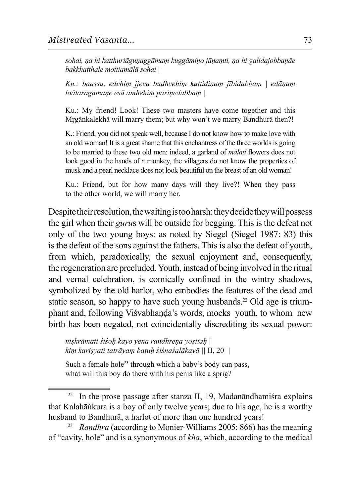sohai, na hi katthuriāgunaggāmam kuggāmino jāņamti, na hi galidajobbaņāe bakkhatthale mottiamālā sohai |

Ku.: baassa, edehim jjeva budhvehim kattidinam jībidabbam | edāņam loātaragamaņe esā amhehim pariņedabbam |

Ku.: My friend! Look! These two masters have come together and this Mrgānkalekhā will marry them; but why won't we marry Bandhurā then?!

K.: Friend, you did not speak well, because I do not know how to make love with an old woman! It is a great shame that this enchantress of the three worlds is going to be married to these two old men: indeed, a garland of *malati* flowers does not look good in the hands of a monkey, the villagers do not know the properties of musk and a pearl necklace does not look beautiful on the breast of an old woman!

Ku.: Friend, but for how many days will they live?! When they pass to the other world, we will marry her.

Despite their resolution, the waiting is too harsh: they decide they will possess the girl when their *gurus* will be outside for begging. This is the defeat not only of the two young boys: as noted by Siegel (Siegel 1987: 83) this is the defeat of the sons against the fathers. This is also the defeat of youth, from which, paradoxically, the sexual enjoyment and, consequently, the regeneration are precluded. Youth, instead of being involved in the ritual and vernal celebration, is comically confined in the wintry shadows, symbolized by the old harlot, who embodies the features of the dead and static season, so happy to have such young husbands.<sup>22</sup> Old age is triumphant and, following Visvabhanda's words, mocks, youth, to whom new birth has been negated, not coincidentally discrediting its sexual power:

niskrāmati śiśoh kāyo yena randhreņa yositah | kim karişyati tatrāyam batuh stsnasalākayā | II, 20 ||

Such a female hole<sup>23</sup> through which a baby's body can pass, what will this boy do there with his penis like a sprig?

 $22\,$ In the prose passage after stanza II, 19, Madanandhamista explains that Kalahānkura is a boy of only twelve years; due to his age, he is a worthy husband to Bandhurā, a harlot of more than one hundred years!

<sup>23</sup> *Randhra* (according to Monier-Williams 2005: 866) has the meaning of "cavity, hole" and is a synonymous of kha, which, according to the medical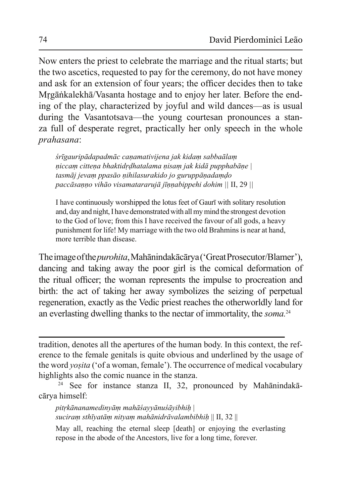Now enters the priest to celebrate the marriage and the ritual starts; but the two ascetics, requested to pay for the ceremony, do not have money and ask for an extension of four years; the officer decides then to take Mrgānkalekhā/Vasanta hostage and to enjoy her later. Before the ending of the play, characterized by joyful and wild dances—as is usual during the Vasantotsava—the young courtesan pronounces a stanza full of desperate regret, practically her only speech in the whole *brahasana*:

*śrīgauripādapadmāc caņamativijena jak kidam sabbaālam niccam cittena bhaktidrdhatalama nisam jak kidā pupphabāne* | tasmāj jevam ppasāo nihilasurakido jo guruppānadamdo *paccāsanno vihāo visamatararujā jīnnabippehi dohim*  $||$  II, 29  $||$ 

I have continuously worshipped the lotus feet of Gauri with solitary resolution and, day and night, I have demonstrated with all my mind the strongest devotion to the God of love; from this I have received the favour of all gods, a heavy punishment for life! My marriage with the two old Brahmins is near at hand, more terrible than disease.

The image of the *purohita*, Mahanindaka carya ('Great Prosecutor/Blamer'), dancing and taking away the poor girl is the comical deformation of the ritual officer; the woman represents the impulse to procreation and birth: the act of taking her away symbolizes the seizing of perpetual regeneration, exactly as the Vedic priest reaches the otherworldly land for an everlasting dwelling thanks to the nectar of immortality, the *soma.*<sup>24</sup>

tradition, denotes all the apertures of the human body. In this context, the reference to the female genitals is quite obvious and underlined by the usage of the word *yosita* ('of a woman, female'). The occurrence of medical vocabulary highlights also the comic nuance in the stanza.

<sup>24</sup> See for instance stanza II, 32, pronounced by Mahānindakācārya himself:

pitrkānanamedinyām mahāśayyānuśāyibhih | *Suciram sthīvatām nitvam mahānidrāvalambibhih* || II, 32 ||

May all, reaching the eternal sleep [death] or enjoying the everlasting repose in the abode of the Ancestors, live for a long time, forever.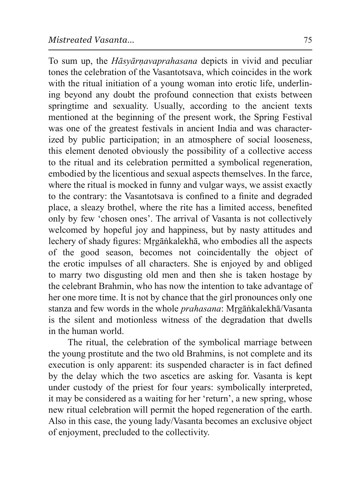To sum up, the *Hāsyārnavaprahasana* depicts in vivid and peculiar tones the celebration of the Vasantotsava, which coincides in the work with the ritual initiation of a young woman into erotic life, underlining beyond any doubt the profound connection that exists between springtime and sexuality. Usually, according to the ancient texts mentioned at the beginning of the present work, the Spring Festival was one of the greatest festivals in ancient India and was characterized by public participation; in an atmosphere of social looseness, this element denoted obviously the possibility of a collective access to the ritual and its celebration permitted a symbolical regeneration. embodied by the licentious and sexual aspects themselves. In the farce, where the ritual is mocked in funny and vulgar ways, we assist exactly to the contrary: the Vasantotsava is confined to a finite and degraded place, a sleazy brothel, where the rite has a limited access, benefited only by few 'chosen ones'. The arrival of Vasanta is not collectively welcomed by hopeful joy and happiness, but by nasty attitudes and lechery of shady figures: Mrgānkalekhā, who embodies all the aspects of the good season, becomes not coincidentally the object of the erotic impulses of all characters. She is enjoyed by and obliged to marry two disgusting old men and then she is taken hostage by the celebrant Brahmin, who has now the intention to take advantage of her one more time. It is not by chance that the girl pronounces only one stanza and few words in the whole *prahasana*: Mrgankalekha/Vasanta is the silent and motionless witness of the degradation that dwells in the human world.

The ritual, the celebration of the symbolical marriage between the young prostitute and the two old Brahmins, is not complete and its execution is only apparent: its suspended character is in fact defined by the delay which the two ascetics are asking for. Vasanta is kept under custody of the priest for four years: symbolically interpreted, it may be considered as a waiting for her 'return', a new spring, whose new ritual celebration will permit the hoped regeneration of the earth. Also in this case, the young lady/Vasanta becomes an exclusive object of enjoyment, precluded to the collectivity.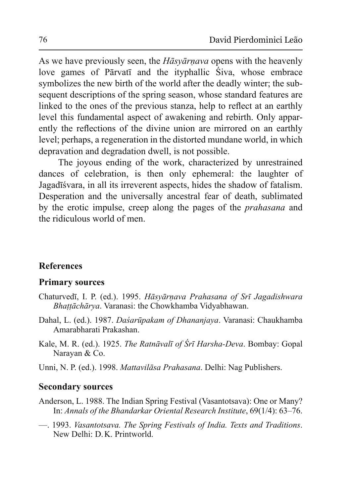As we have previously seen, the *Hasyarnava* opens with the heavenly love games of Pārvatī and the ityphallic Siva, whose embrace symbolizes the new birth of the world after the deadly winter; the subsequent descriptions of the spring season, whose standard features are linked to the ones of the previous stanza, help to reflect at an earthly level this fundamental aspect of awakening and rebirth. Only apparently the reflections of the divine union are mirrored on an earthly level; perhaps, a regeneration in the distorted mundane world, in which depravation and degradation dwell, is not possible.

The joyous ending of the work, characterized by unrestrained dances of celebration, is then only ephemeral: the laughter of Jagadīśvara, in all its irreverent aspects, hides the shadow of fatalism. Desperation and the universally ancestral fear of death, sublimated by the erotic impulse, creep along the pages of the *prahasana* and the ridiculous world of men.

## **References**

#### **Primary sources**

- Chaturvedī, I. P. (ed.). 1995. Hāsyārnava Prahasana of Srī Jagadishwara *Bhattāchārya*. Varanasi: the Chowkhamba Vidyabhawan.
- Dahal, L. (ed.). 1987. *Dasarūpakam of Dhananiava*. Varanasi: Chaukhamba Amarabharati Prakashan.
- Kale, M. R. (ed.). 1925. *The Ratnāvalī of Śrī Harsha-Deva*. Bombay: Gopal Narayan & Co.
- Unni, N. P. (ed.). 1998. Mattavilāsa Prahasana. Delhi: Nag Publishers.

### **Secondary sources**

- Anderson, L. 1988. The Indian Spring Festival (Vasantotsava): One or Many? In: *Annals of the Bhandarkar Oriental Research Institute*, 69(1/4): 63–76.
- $-$  1993. *Vasantotsava. The Spring Festivals of India. Texts and Traditions.* New Delhi: D. K. Printworld.